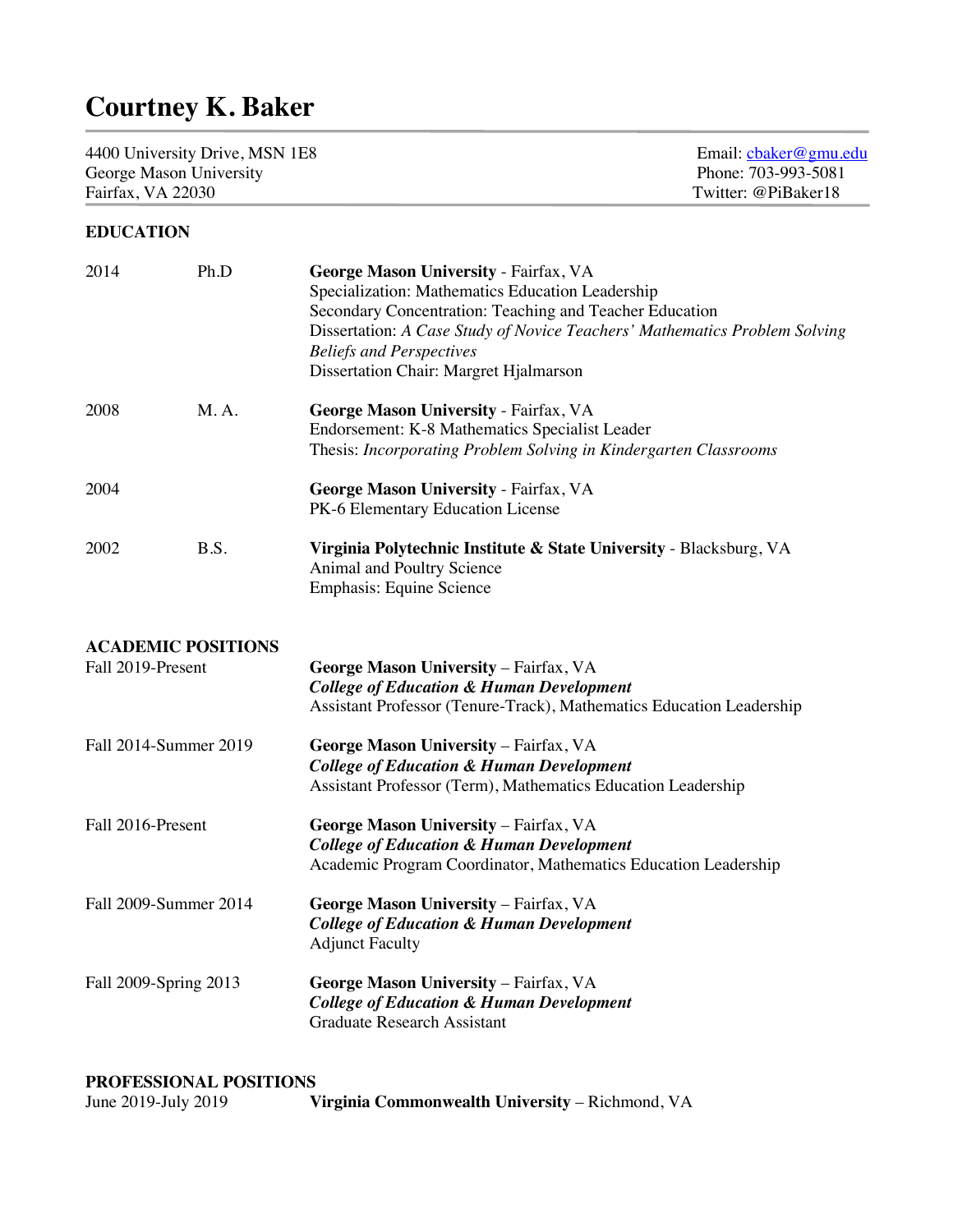# **Courtney K. Baker**

4400 University Drive, MSN 1E8<br>
George Mason University<br>
Fhone: 703-993-5081<br>
Phone: 703-993-5081 George Mason University<br>
Fairfax, VA 22030<br>
Twitter: @PiBaker18<br>
Phone: 703-993-5081 Fairfax, VA 22030

# **EDUCATION**

| 2014                                           | Ph.D | George Mason University - Fairfax, VA<br>Specialization: Mathematics Education Leadership<br>Secondary Concentration: Teaching and Teacher Education<br>Dissertation: A Case Study of Novice Teachers' Mathematics Problem Solving<br><b>Beliefs and Perspectives</b><br>Dissertation Chair: Margret Hjalmarson |
|------------------------------------------------|------|-----------------------------------------------------------------------------------------------------------------------------------------------------------------------------------------------------------------------------------------------------------------------------------------------------------------|
| 2008                                           | M.A. | George Mason University - Fairfax, VA<br>Endorsement: K-8 Mathematics Specialist Leader<br>Thesis: Incorporating Problem Solving in Kindergarten Classrooms                                                                                                                                                     |
| 2004                                           |      | George Mason University - Fairfax, VA<br>PK-6 Elementary Education License                                                                                                                                                                                                                                      |
| 2002                                           | B.S. | Virginia Polytechnic Institute & State University - Blacksburg, VA<br>Animal and Poultry Science<br>Emphasis: Equine Science                                                                                                                                                                                    |
| <b>ACADEMIC POSITIONS</b><br>Fall 2019-Present |      | George Mason University - Fairfax, VA<br><b>College of Education &amp; Human Development</b><br>Assistant Professor (Tenure-Track), Mathematics Education Leadership                                                                                                                                            |
| Fall 2014-Summer 2019                          |      | George Mason University - Fairfax, VA<br><b>College of Education &amp; Human Development</b><br>Assistant Professor (Term), Mathematics Education Leadership                                                                                                                                                    |
| Fall 2016-Present                              |      | George Mason University - Fairfax, VA<br><b>College of Education &amp; Human Development</b><br>Academic Program Coordinator, Mathematics Education Leadership                                                                                                                                                  |
| Fall 2009-Summer 2014                          |      | George Mason University - Fairfax, VA<br><b>College of Education &amp; Human Development</b><br><b>Adjunct Faculty</b>                                                                                                                                                                                          |
| Fall 2009-Spring 2013                          |      | George Mason University - Fairfax, VA<br><b>College of Education &amp; Human Development</b><br><b>Graduate Research Assistant</b>                                                                                                                                                                              |

j

# **PROFESSIONAL POSITIONS**

| June 2019-July 2019 |  | Virginia Commonwealth University - Richmond, VA |  |
|---------------------|--|-------------------------------------------------|--|
|---------------------|--|-------------------------------------------------|--|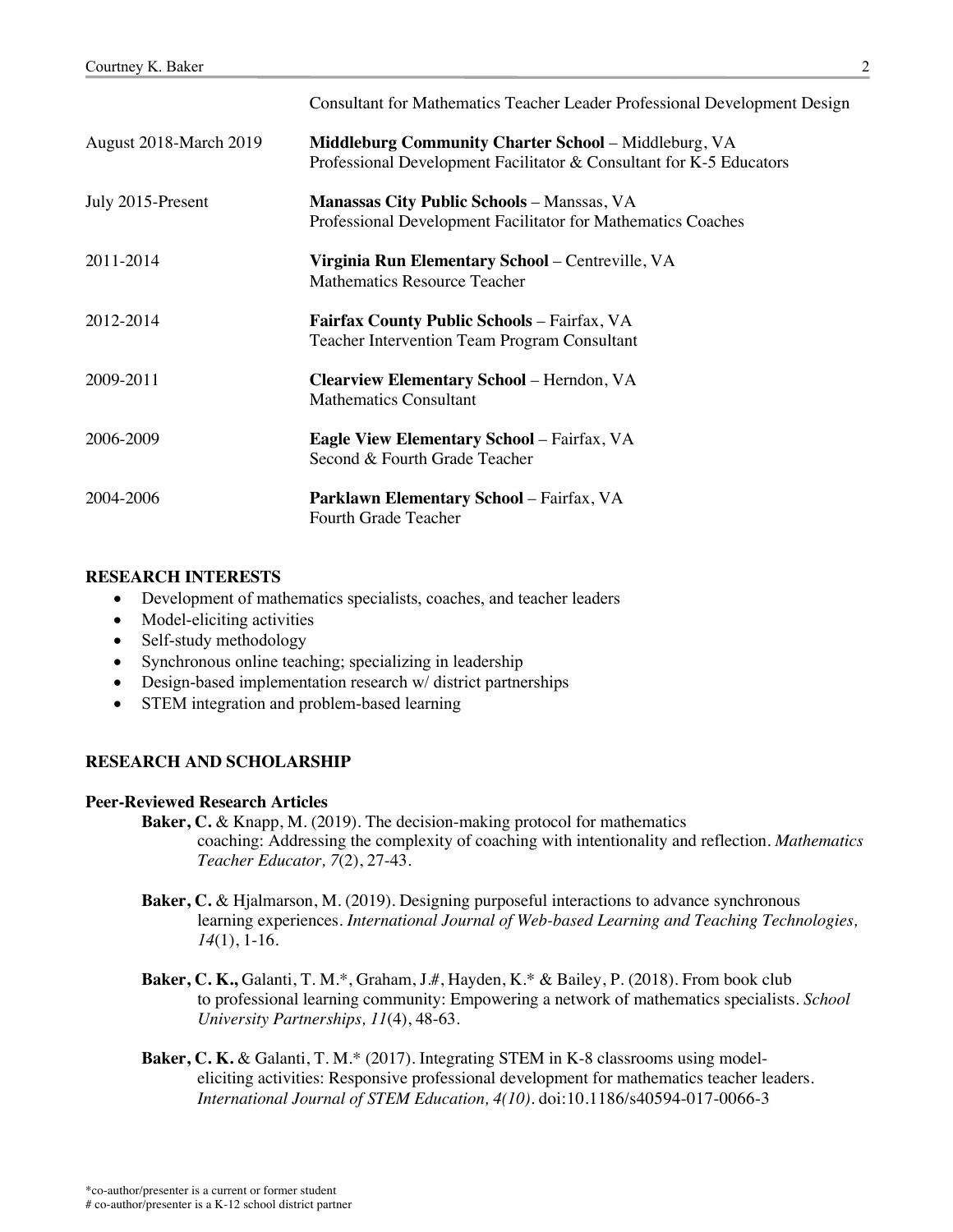|                        | Consultant for Mathematics Teacher Leader Professional Development Design                                                          |
|------------------------|------------------------------------------------------------------------------------------------------------------------------------|
| August 2018-March 2019 | <b>Middleburg Community Charter School - Middleburg, VA</b><br>Professional Development Facilitator & Consultant for K-5 Educators |
| July 2015-Present      | <b>Manassas City Public Schools - Manssas, VA</b><br>Professional Development Facilitator for Mathematics Coaches                  |
| 2011-2014              | Virginia Run Elementary School – Centreville, VA<br><b>Mathematics Resource Teacher</b>                                            |
| 2012-2014              | <b>Fairfax County Public Schools - Fairfax, VA</b><br><b>Teacher Intervention Team Program Consultant</b>                          |
| 2009-2011              | Clearview Elementary School - Herndon, VA<br><b>Mathematics Consultant</b>                                                         |
| 2006-2009              | <b>Eagle View Elementary School - Fairfax, VA</b><br>Second & Fourth Grade Teacher                                                 |
| 2004-2006              | <b>Parklawn Elementary School - Fairfax, VA</b><br>Fourth Grade Teacher                                                            |

# **RESEARCH INTERESTS**

- Development of mathematics specialists, coaches, and teacher leaders
- Model-eliciting activities
- Self-study methodology
- Synchronous online teaching; specializing in leadership
- Design-based implementation research w/district partnerships
- STEM integration and problem-based learning

# **RESEARCH AND SCHOLARSHIP**

# **Peer-Reviewed Research Articles**

- **Baker, C.** & Knapp, M. (2019). The decision-making protocol for mathematics coaching: Addressing the complexity of coaching with intentionality and reflection. *Mathematics Teacher Educator, 7*(2), 27-43.
- **Baker, C.** & Hjalmarson, M. (2019). Designing purposeful interactions to advance synchronous learning experiences. *International Journal of Web-based Learning and Teaching Technologies, 14*(1), 1-16*.*
- **Baker, C. K.,** Galanti, T. M.\*, Graham, J.#, Hayden, K.\* & Bailey, P. (2018). From book club to professional learning community: Empowering a network of mathematics specialists. *School University Partnerships, 11*(4), 48-63*.*
- **Baker, C. K.** & Galanti, T. M.\* (2017). Integrating STEM in K-8 classrooms using modeleliciting activities: Responsive professional development for mathematics teacher leaders. *International Journal of STEM Education, 4(10).* doi:10.1186/s40594-017-0066-3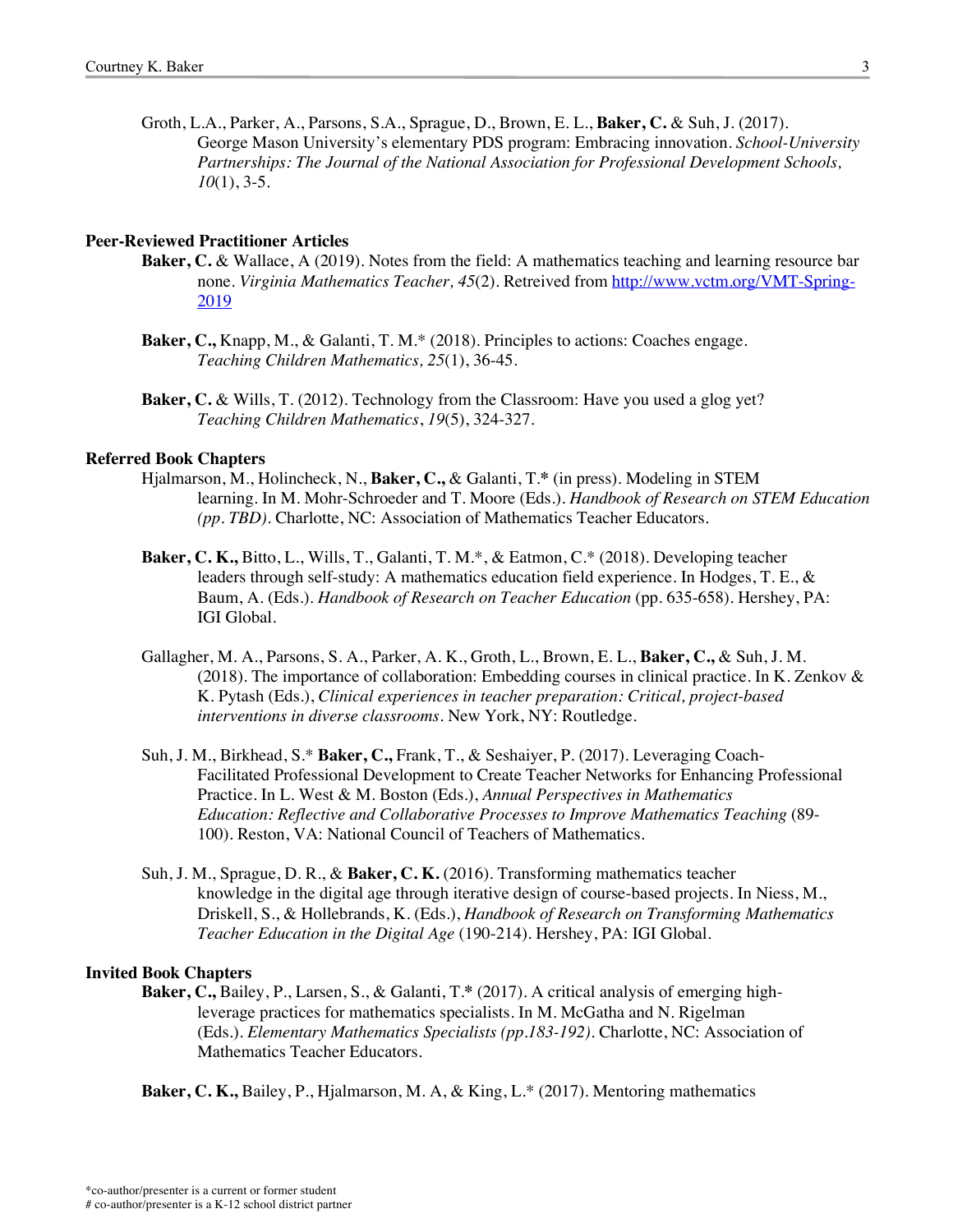Groth, L.A., Parker, A., Parsons, S.A., Sprague, D., Brown, E. L., **Baker, C.** & Suh, J. (2017). George Mason University's elementary PDS program: Embracing innovation. *School-University Partnerships: The Journal of the National Association for Professional Development Schools, 10*(1), 3-5.

#### **Peer-Reviewed Practitioner Articles**

- **Baker, C.** & Wallace, A (2019). Notes from the field: A mathematics teaching and learning resource bar none. *Virginia Mathematics Teacher, 45*(2). Retreived from http://www.vctm.org/VMT-Spring-2019
- **Baker, C.,** Knapp, M., & Galanti, T. M.\* (2018). Principles to actions: Coaches engage. *Teaching Children Mathematics, 25*(1), 36-45.
- **Baker, C.** & Wills, T. (2012). Technology from the Classroom: Have you used a glog yet? *Teaching Children Mathematics*, *19*(5), 324-327.

#### **Referred Book Chapters**

- Hjalmarson, M., Holincheck, N., **Baker, C.,** & Galanti, T.**\*** (in press). Modeling in STEM learning. In M. Mohr-Schroeder and T. Moore (Eds.). *Handbook of Research on STEM Education (pp. TBD)*. Charlotte, NC: Association of Mathematics Teacher Educators.
- **Baker, C. K.,** Bitto, L., Wills, T., Galanti, T. M.\*, & Eatmon, C.\* (2018). Developing teacher leaders through self-study: A mathematics education field experience. In Hodges, T. E., & Baum, A. (Eds.). *Handbook of Research on Teacher Education* (pp. 635-658). Hershey, PA: IGI Global.
- Gallagher, M. A., Parsons, S. A., Parker, A. K., Groth, L., Brown, E. L., **Baker, C.,** & Suh, J. M. (2018). The importance of collaboration: Embedding courses in clinical practice. In K. Zenkov & K. Pytash (Eds.), *Clinical experiences in teacher preparation: Critical, project-based interventions in diverse classrooms.* New York, NY: Routledge.
- Suh, J. M., Birkhead, S.\* **Baker, C.,** Frank, T., & Seshaiyer, P. (2017). Leveraging Coach-Facilitated Professional Development to Create Teacher Networks for Enhancing Professional Practice. In L. West & M. Boston (Eds.), *Annual Perspectives in Mathematics Education: Reflective and Collaborative Processes to Improve Mathematics Teaching* (89- 100). Reston, VA: National Council of Teachers of Mathematics.
- Suh, J. M., Sprague, D. R., & **Baker, C. K.** (2016). Transforming mathematics teacher knowledge in the digital age through iterative design of course-based projects. In Niess, M., Driskell, S., & Hollebrands, K. (Eds.), *Handbook of Research on Transforming Mathematics Teacher Education in the Digital Age* (190-214). Hershey, PA: IGI Global.

#### **Invited Book Chapters**

**Baker, C.,** Bailey, P., Larsen, S., & Galanti, T.**\*** (2017). A critical analysis of emerging highleverage practices for mathematics specialists. In M. McGatha and N. Rigelman (Eds.). *Elementary Mathematics Specialists (pp.183-192)*. Charlotte, NC: Association of Mathematics Teacher Educators.

**Baker, C. K.,** Bailey, P., Hjalmarson, M. A, & King, L.\* (2017). Mentoring mathematics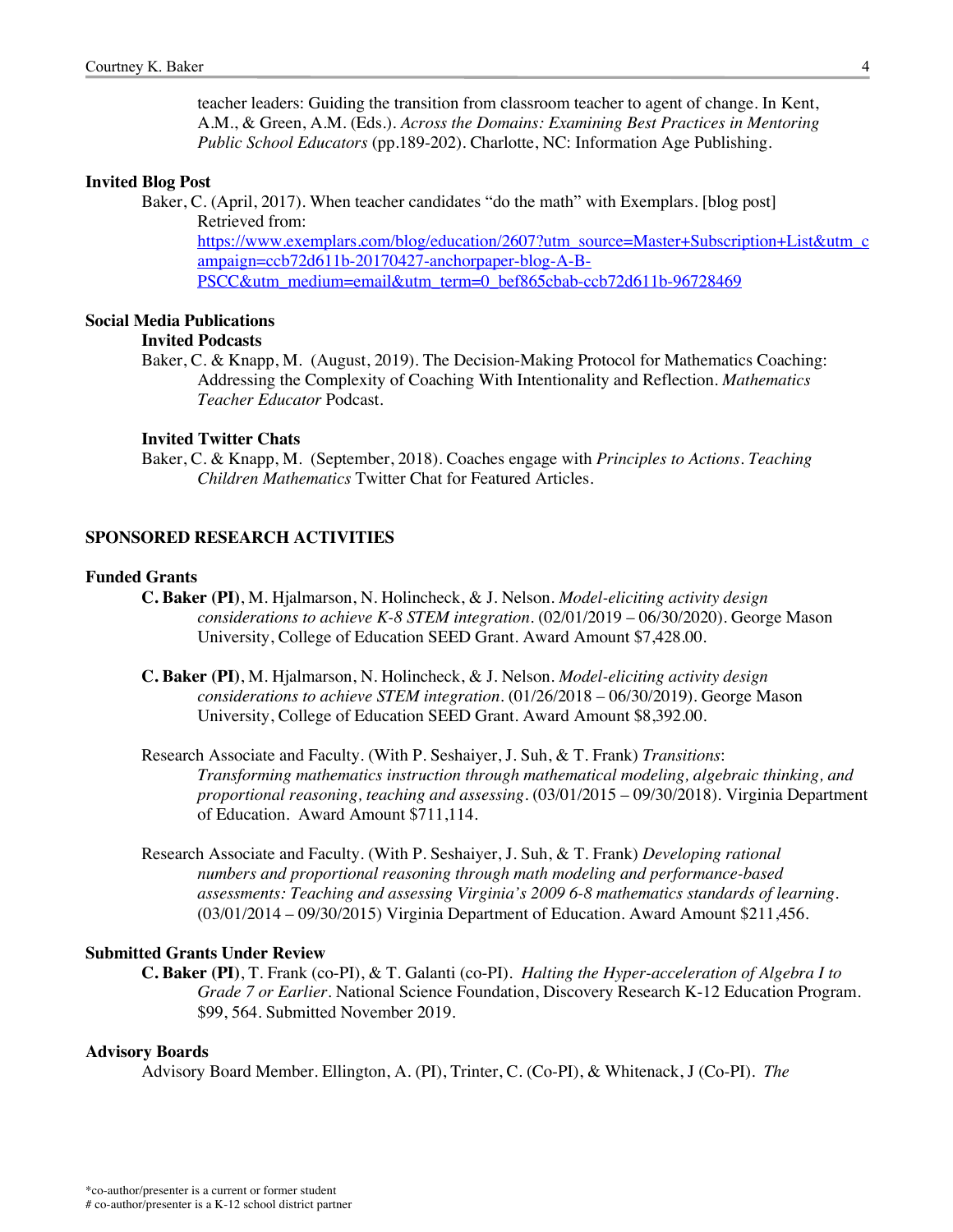teacher leaders: Guiding the transition from classroom teacher to agent of change. In Kent, A.M., & Green, A.M. (Eds.). *Across the Domains: Examining Best Practices in Mentoring Public School Educators* (pp.189-202)*.* Charlotte, NC: Information Age Publishing.

## **Invited Blog Post**

Baker, C. (April, 2017). When teacher candidates "do the math" with Exemplars. [blog post] Retrieved from:

https://www.exemplars.com/blog/education/2607?utm\_source=Master+Subscription+List&utm\_c ampaign=ccb72d611b-20170427-anchorpaper-blog-A-B-PSCC&utm\_medium=email&utm\_term=0\_bef865cbab-ccb72d611b-96728469

#### **Social Media Publications Invited Podcasts**

Baker, C. & Knapp, M. (August, 2019). The Decision-Making Protocol for Mathematics Coaching: Addressing the Complexity of Coaching With Intentionality and Reflection. *Mathematics Teacher Educator* Podcast.

#### **Invited Twitter Chats**

Baker, C. & Knapp, M. (September, 2018). Coaches engage with *Principles to Actions*. *Teaching Children Mathematics* Twitter Chat for Featured Articles.

# **SPONSORED RESEARCH ACTIVITIES**

### **Funded Grants**

- **C. Baker (PI)**, M. Hjalmarson, N. Holincheck, & J. Nelson. *Model-eliciting activity design considerations to achieve K-8 STEM integration*. (02/01/2019 – 06/30/2020). George Mason University, College of Education SEED Grant. Award Amount \$7,428.00.
- **C. Baker (PI)**, M. Hjalmarson, N. Holincheck, & J. Nelson. *Model-eliciting activity design considerations to achieve STEM integration*. (01/26/2018 – 06/30/2019). George Mason University, College of Education SEED Grant. Award Amount \$8,392.00.
- Research Associate and Faculty. (With P. Seshaiyer, J. Suh, & T. Frank) *Transitions*: *Transforming mathematics instruction through mathematical modeling, algebraic thinking, and proportional reasoning, teaching and assessing.* (03/01/2015 – 09/30/2018). Virginia Department of Education. Award Amount \$711,114.
- Research Associate and Faculty. (With P. Seshaiyer, J. Suh, & T. Frank) *Developing rational numbers and proportional reasoning through math modeling and performance-based assessments: Teaching and assessing Virginia's 2009 6-8 mathematics standards of learning.* (03/01/2014 – 09/30/2015) Virginia Department of Education. Award Amount \$211,456.

### **Submitted Grants Under Review**

**C. Baker (PI)**, T. Frank (co-PI), & T. Galanti (co-PI). *Halting the Hyper-acceleration of Algebra I to Grade 7 or Earlier*. National Science Foundation, Discovery Research K-12 Education Program. \$99, 564. Submitted November 2019.

#### **Advisory Boards**

Advisory Board Member. Ellington, A. (PI), Trinter, C. (Co-PI), & Whitenack, J (Co-PI). *The*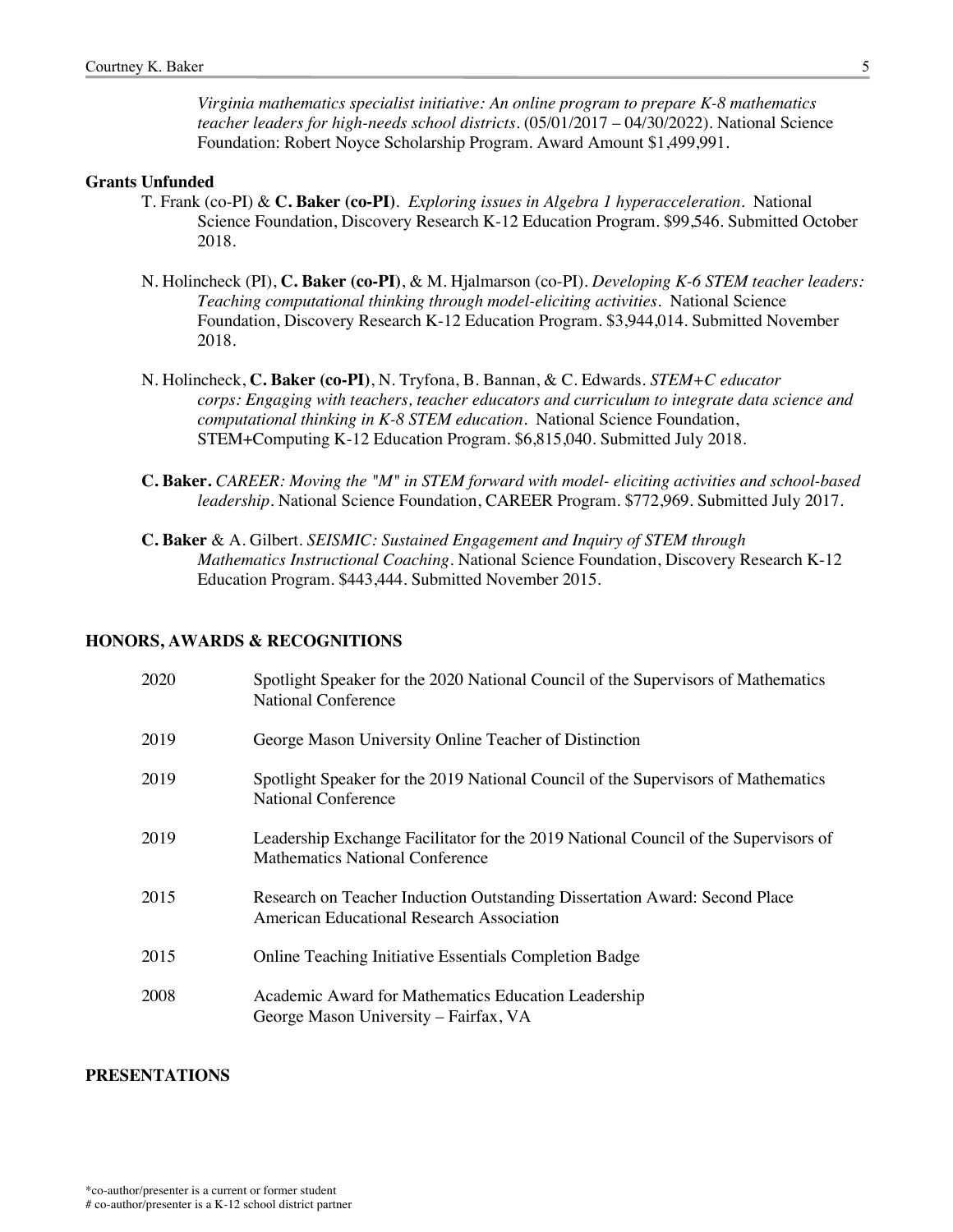*Virginia mathematics specialist initiative: An online program to prepare K-8 mathematics teacher leaders for high-needs school districts.* (05/01/2017 – 04/30/2022). National Science Foundation: Robert Noyce Scholarship Program. Award Amount \$1,499,991.

## **Grants Unfunded**

- T. Frank (co-PI) & **C. Baker (co-PI)**. *Exploring issues in Algebra 1 hyperacceleration*. National Science Foundation, Discovery Research K-12 Education Program. \$99,546. Submitted October 2018.
- N. Holincheck (PI), **C. Baker (co-PI)**, & M. Hjalmarson (co-PI). *Developing K-6 STEM teacher leaders: Teaching computational thinking through model-eliciting activities.* National Science Foundation, Discovery Research K-12 Education Program. \$3,944,014. Submitted November 2018.
- N. Holincheck, **C. Baker (co-PI)**, N. Tryfona, B. Bannan, & C. Edwards. *STEM+C educator corps: Engaging with teachers, teacher educators and curriculum to integrate data science and computational thinking in K-8 STEM education.* National Science Foundation, STEM+Computing K-12 Education Program. \$6,815,040. Submitted July 2018.
- **C. Baker.** *CAREER: Moving the "M" in STEM forward with model- eliciting activities and school-based leadership*. National Science Foundation, CAREER Program. \$772,969. Submitted July 2017.
- **C. Baker** & A. Gilbert. *SEISMIC: Sustained Engagement and Inquiry of STEM through Mathematics Instructional Coaching*. National Science Foundation, Discovery Research K-12 Education Program. \$443,444. Submitted November 2015.

# **HONORS, AWARDS & RECOGNITIONS**

| 2020 | Spotlight Speaker for the 2020 National Council of the Supervisors of Mathematics<br><b>National Conference</b>               |
|------|-------------------------------------------------------------------------------------------------------------------------------|
| 2019 | George Mason University Online Teacher of Distinction                                                                         |
| 2019 | Spotlight Speaker for the 2019 National Council of the Supervisors of Mathematics<br><b>National Conference</b>               |
| 2019 | Leadership Exchange Facilitator for the 2019 National Council of the Supervisors of<br><b>Mathematics National Conference</b> |
| 2015 | Research on Teacher Induction Outstanding Dissertation Award: Second Place<br>American Educational Research Association       |
| 2015 | Online Teaching Initiative Essentials Completion Badge                                                                        |
| 2008 | Academic Award for Mathematics Education Leadership<br>George Mason University – Fairfax, VA                                  |

### **PRESENTATIONS**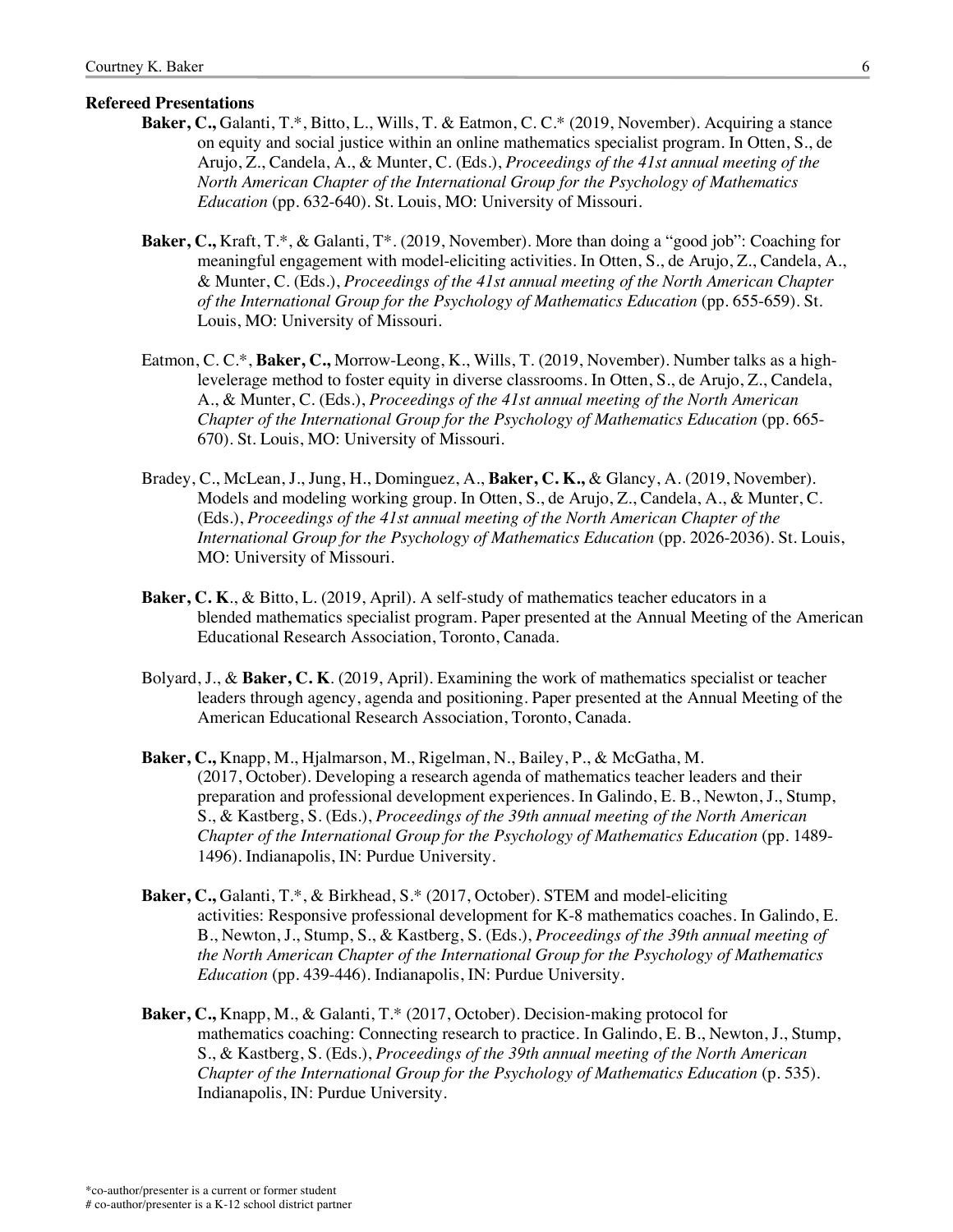#### **Refereed Presentations**

- **Baker, C.,** Galanti, T.\*, Bitto, L., Wills, T. & Eatmon, C. C.\* (2019, November). Acquiring a stance on equity and social justice within an online mathematics specialist program. In Otten, S., de Arujo, Z., Candela, A., & Munter, C. (Eds.), *Proceedings of the 41st annual meeting of the North American Chapter of the International Group for the Psychology of Mathematics Education* (pp. 632-640). St. Louis, MO: University of Missouri.
- **Baker, C.,** Kraft, T.\*, & Galanti, T\*. (2019, November). More than doing a "good job": Coaching for meaningful engagement with model-eliciting activities. In Otten, S., de Arujo, Z., Candela, A., & Munter, C. (Eds.), *Proceedings of the 41st annual meeting of the North American Chapter of the International Group for the Psychology of Mathematics Education* (pp. 655-659). St. Louis, MO: University of Missouri.
- Eatmon, C. C.\*, **Baker, C.,** Morrow-Leong, K., Wills, T. (2019, November). Number talks as a highlevelerage method to foster equity in diverse classrooms. In Otten, S., de Arujo, Z., Candela, A., & Munter, C. (Eds.), *Proceedings of the 41st annual meeting of the North American Chapter of the International Group for the Psychology of Mathematics Education* (pp. 665- 670). St. Louis, MO: University of Missouri.
- Bradey, C., McLean, J., Jung, H., Dominguez, A., **Baker, C. K.,** & Glancy, A. (2019, November). Models and modeling working group. In Otten, S., de Arujo, Z., Candela, A., & Munter, C. (Eds.), *Proceedings of the 41st annual meeting of the North American Chapter of the International Group for the Psychology of Mathematics Education* (pp. 2026-2036). St. Louis, MO: University of Missouri.
- **Baker, C. K**., & Bitto, L. (2019, April). A self-study of mathematics teacher educators in a blended mathematics specialist program. Paper presented at the Annual Meeting of the American Educational Research Association, Toronto, Canada.
- Bolyard, J., & **Baker, C. K**. (2019, April). Examining the work of mathematics specialist or teacher leaders through agency, agenda and positioning. Paper presented at the Annual Meeting of the American Educational Research Association, Toronto, Canada.
- **Baker, C.,** Knapp, M., Hjalmarson, M., Rigelman, N., Bailey, P., & McGatha, M. (2017, October). Developing a research agenda of mathematics teacher leaders and their preparation and professional development experiences. In Galindo, E. B., Newton, J., Stump, S., & Kastberg, S. (Eds.), *Proceedings of the 39th annual meeting of the North American Chapter of the International Group for the Psychology of Mathematics Education* (pp. 1489- 1496). Indianapolis, IN: Purdue University.
- **Baker, C.,** Galanti, T.\*, & Birkhead, S.\* (2017, October). STEM and model-eliciting activities: Responsive professional development for K-8 mathematics coaches. In Galindo, E. B., Newton, J., Stump, S., & Kastberg, S. (Eds.), *Proceedings of the 39th annual meeting of the North American Chapter of the International Group for the Psychology of Mathematics Education* (pp. 439-446). Indianapolis, IN: Purdue University.
- **Baker, C.,** Knapp, M., & Galanti, T.\* (2017, October). Decision-making protocol for mathematics coaching: Connecting research to practice. In Galindo, E. B., Newton, J., Stump, S., & Kastberg, S. (Eds.), *Proceedings of the 39th annual meeting of the North American Chapter of the International Group for the Psychology of Mathematics Education* (p. 535). Indianapolis, IN: Purdue University.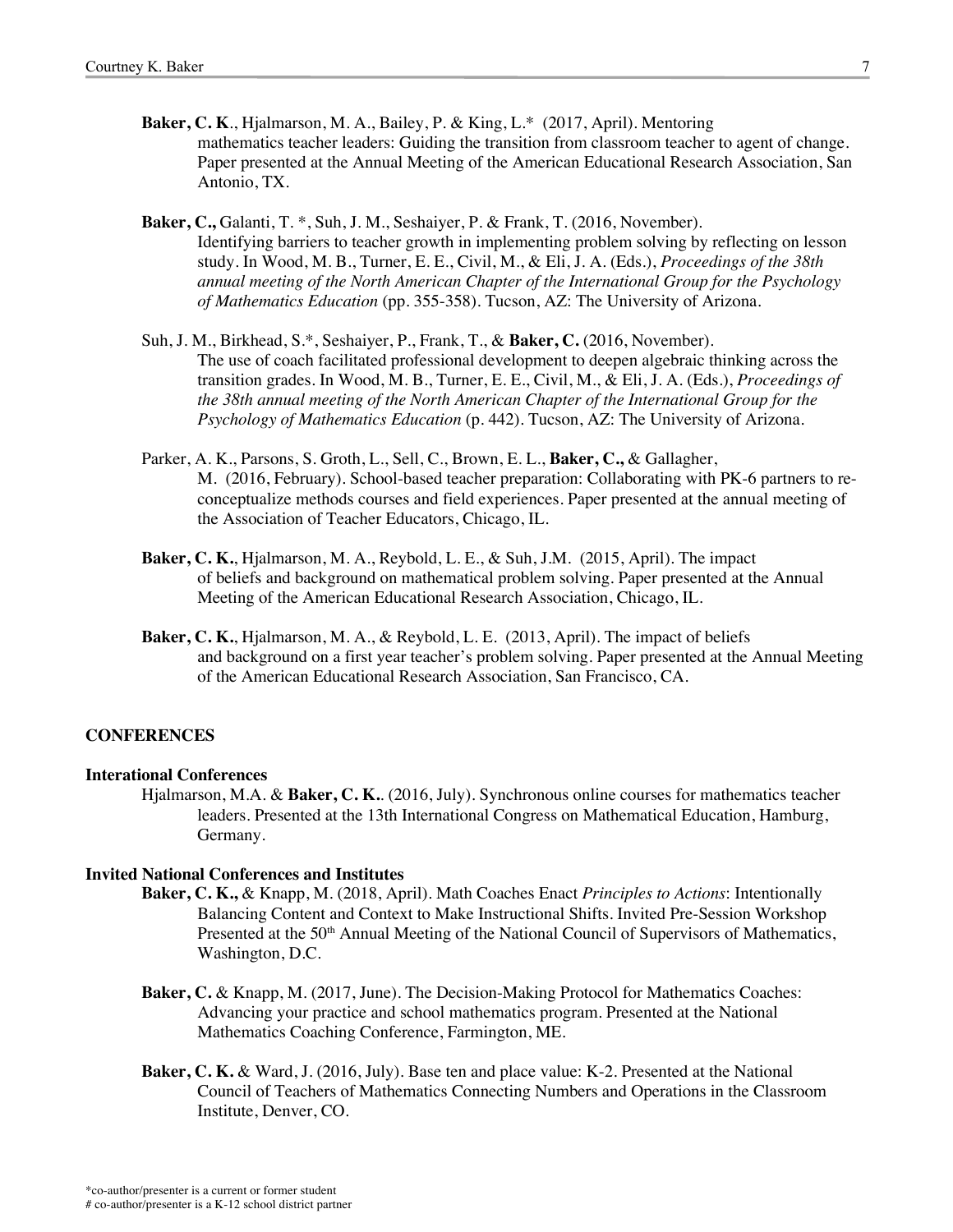- **Baker, C. K**., Hjalmarson, M. A., Bailey, P. & King, L.\* (2017, April). Mentoring mathematics teacher leaders: Guiding the transition from classroom teacher to agent of change. Paper presented at the Annual Meeting of the American Educational Research Association, San Antonio, TX.
- **Baker, C.,** Galanti, T. \*, Suh, J. M., Seshaiyer, P. & Frank, T. (2016, November). Identifying barriers to teacher growth in implementing problem solving by reflecting on lesson study. In Wood, M. B., Turner, E. E., Civil, M., & Eli, J. A. (Eds.), *Proceedings of the 38th annual meeting of the North American Chapter of the International Group for the Psychology of Mathematics Education* (pp. 355-358). Tucson, AZ: The University of Arizona.
- Suh, J. M., Birkhead, S.\*, Seshaiyer, P., Frank, T., & **Baker, C.** (2016, November). The use of coach facilitated professional development to deepen algebraic thinking across the transition grades. In Wood, M. B., Turner, E. E., Civil, M., & Eli, J. A. (Eds.), *Proceedings of the 38th annual meeting of the North American Chapter of the International Group for the Psychology of Mathematics Education* (p. 442). Tucson, AZ: The University of Arizona.
- Parker, A. K., Parsons, S. Groth, L., Sell, C., Brown, E. L., **Baker, C.,** & Gallagher, M. (2016, February). School-based teacher preparation: Collaborating with PK-6 partners to reconceptualize methods courses and field experiences. Paper presented at the annual meeting of the Association of Teacher Educators, Chicago, IL.
- **Baker, C. K.**, Hjalmarson, M. A., Reybold, L. E., & Suh, J.M. (2015, April). The impact of beliefs and background on mathematical problem solving. Paper presented at the Annual Meeting of the American Educational Research Association, Chicago, IL.
- **Baker, C. K.**, Hjalmarson, M. A., & Reybold, L. E. (2013, April). The impact of beliefs and background on a first year teacher's problem solving. Paper presented at the Annual Meeting of the American Educational Research Association, San Francisco, CA.

# **CONFERENCES**

#### **Interational Conferences**

Hjalmarson, M.A. & **Baker, C. K.**. (2016, July). Synchronous online courses for mathematics teacher leaders. Presented at the 13th International Congress on Mathematical Education, Hamburg, Germany.

#### **Invited National Conferences and Institutes**

- **Baker, C. K.,** & Knapp, M. (2018, April). Math Coaches Enact *Principles to Actions*: Intentionally Balancing Content and Context to Make Instructional Shifts. Invited Pre-Session Workshop Presented at the 50<sup>th</sup> Annual Meeting of the National Council of Supervisors of Mathematics, Washington, D.C.
- **Baker, C.** & Knapp, M. (2017, June). The Decision-Making Protocol for Mathematics Coaches: Advancing your practice and school mathematics program. Presented at the National Mathematics Coaching Conference, Farmington, ME.
- **Baker, C. K.** & Ward, J. (2016, July). Base ten and place value: K-2. Presented at the National Council of Teachers of Mathematics Connecting Numbers and Operations in the Classroom Institute, Denver, CO.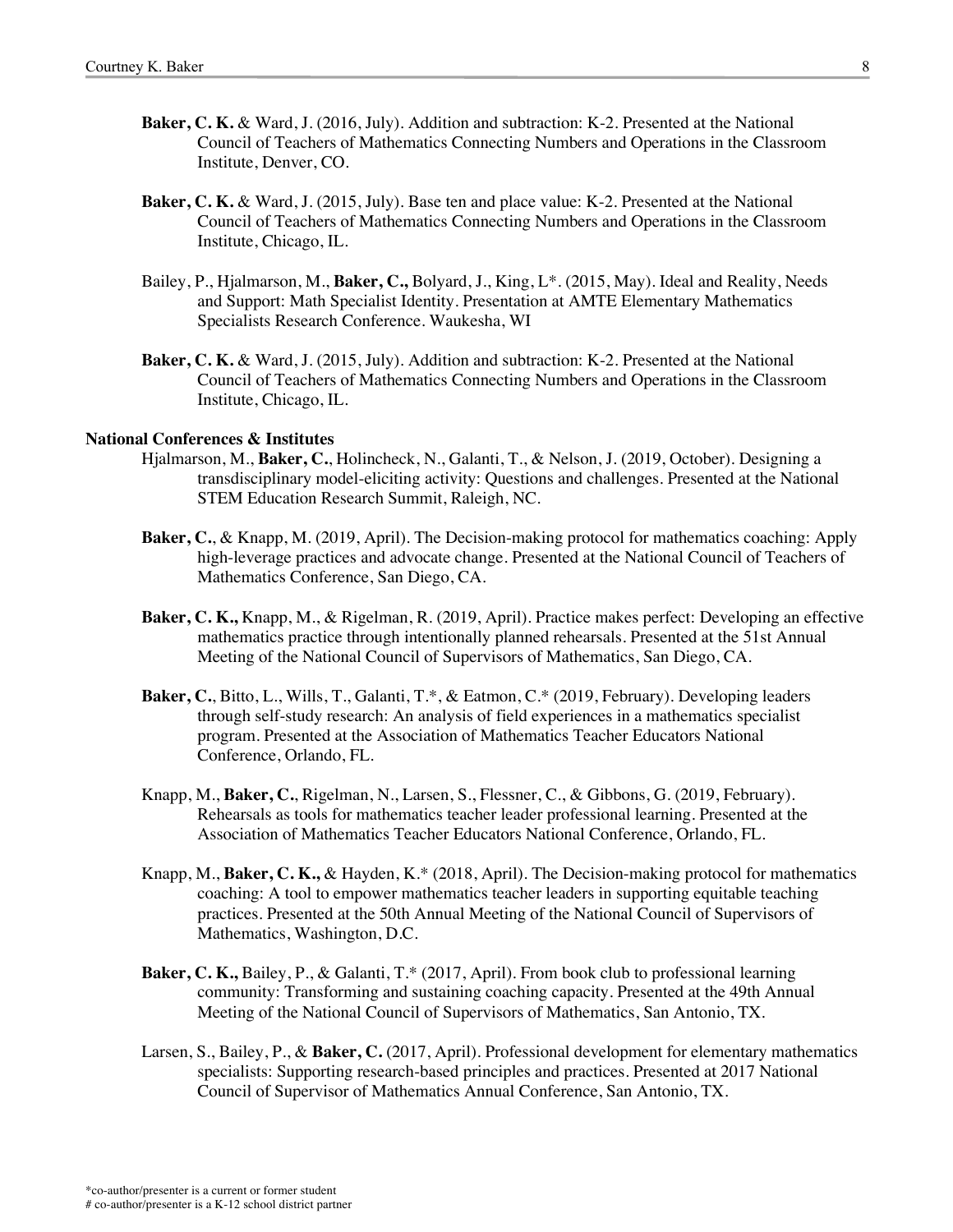- **Baker, C. K.** & Ward, J. (2016, July). Addition and subtraction: K-2. Presented at the National Council of Teachers of Mathematics Connecting Numbers and Operations in the Classroom Institute, Denver, CO.
- **Baker, C. K.** & Ward, J. (2015, July). Base ten and place value: K-2. Presented at the National Council of Teachers of Mathematics Connecting Numbers and Operations in the Classroom Institute, Chicago, IL.
- Bailey, P., Hjalmarson, M., **Baker, C.,** Bolyard, J., King, L\*. (2015, May). Ideal and Reality, Needs and Support: Math Specialist Identity. Presentation at AMTE Elementary Mathematics Specialists Research Conference. Waukesha, WI
- **Baker, C. K.** & Ward, J. (2015, July). Addition and subtraction: K-2. Presented at the National Council of Teachers of Mathematics Connecting Numbers and Operations in the Classroom Institute, Chicago, IL.

#### **National Conferences & Institutes**

- Hjalmarson, M., **Baker, C.**, Holincheck, N., Galanti, T., & Nelson, J. (2019, October). Designing a transdisciplinary model-eliciting activity: Questions and challenges. Presented at the National STEM Education Research Summit, Raleigh, NC.
- **Baker, C.**, & Knapp, M. (2019, April). The Decision-making protocol for mathematics coaching: Apply high-leverage practices and advocate change. Presented at the National Council of Teachers of Mathematics Conference, San Diego, CA.
- **Baker, C. K.,** Knapp, M., & Rigelman, R. (2019, April). Practice makes perfect: Developing an effective mathematics practice through intentionally planned rehearsals. Presented at the 51st Annual Meeting of the National Council of Supervisors of Mathematics, San Diego, CA.
- **Baker, C.**, Bitto, L., Wills, T., Galanti, T.\*, & Eatmon, C.\* (2019, February). Developing leaders through self-study research: An analysis of field experiences in a mathematics specialist program. Presented at the Association of Mathematics Teacher Educators National Conference, Orlando, FL.
- Knapp, M., **Baker, C.**, Rigelman, N., Larsen, S., Flessner, C., & Gibbons, G. (2019, February). Rehearsals as tools for mathematics teacher leader professional learning. Presented at the Association of Mathematics Teacher Educators National Conference, Orlando, FL.
- Knapp, M., **Baker, C. K.,** & Hayden, K.\* (2018, April). The Decision-making protocol for mathematics coaching: A tool to empower mathematics teacher leaders in supporting equitable teaching practices. Presented at the 50th Annual Meeting of the National Council of Supervisors of Mathematics, Washington, D.C.
- **Baker, C. K.,** Bailey, P., & Galanti, T.\* (2017, April). From book club to professional learning community: Transforming and sustaining coaching capacity. Presented at the 49th Annual Meeting of the National Council of Supervisors of Mathematics, San Antonio, TX.
- Larsen, S., Bailey, P., & **Baker, C.** (2017, April). Professional development for elementary mathematics specialists: Supporting research-based principles and practices. Presented at 2017 National Council of Supervisor of Mathematics Annual Conference, San Antonio, TX.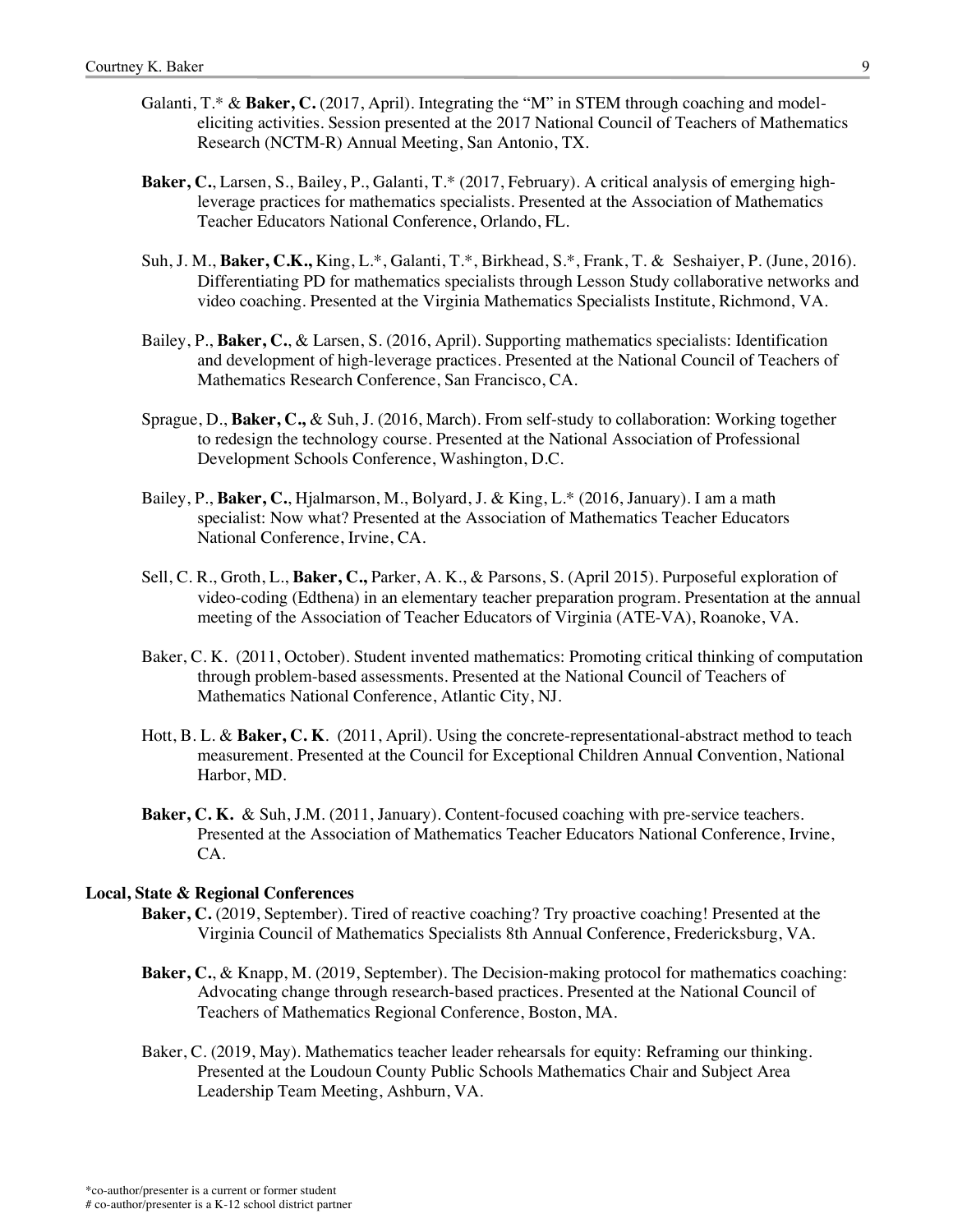- Galanti, T.\* & **Baker, C.** (2017, April). Integrating the "M" in STEM through coaching and modeleliciting activities*.* Session presented at the 2017 National Council of Teachers of Mathematics Research (NCTM-R) Annual Meeting, San Antonio, TX.
- **Baker, C.**, Larsen, S., Bailey, P., Galanti, T.\* (2017, February). A critical analysis of emerging highleverage practices for mathematics specialists. Presented at the Association of Mathematics Teacher Educators National Conference, Orlando, FL.
- Suh, J. M., **Baker, C.K.,** King, L.\*, Galanti, T.\*, Birkhead, S.\*, Frank, T. & Seshaiyer, P. (June, 2016). Differentiating PD for mathematics specialists through Lesson Study collaborative networks and video coaching. Presented at the Virginia Mathematics Specialists Institute, Richmond, VA.
- Bailey, P., **Baker, C.**, & Larsen, S. (2016, April). Supporting mathematics specialists: Identification and development of high-leverage practices. Presented at the National Council of Teachers of Mathematics Research Conference, San Francisco, CA.
- Sprague, D., **Baker, C.,** & Suh, J. (2016, March). From self-study to collaboration: Working together to redesign the technology course. Presented at the National Association of Professional Development Schools Conference, Washington, D.C.
- Bailey, P., **Baker, C.**, Hjalmarson, M., Bolyard, J. & King, L.\* (2016, January). I am a math specialist: Now what? Presented at the Association of Mathematics Teacher Educators National Conference, Irvine, CA.
- Sell, C. R., Groth, L., **Baker, C.,** Parker, A. K., & Parsons, S. (April 2015). Purposeful exploration of video-coding (Edthena) in an elementary teacher preparation program. Presentation at the annual meeting of the Association of Teacher Educators of Virginia (ATE-VA), Roanoke, VA.
- Baker, C. K. (2011, October). Student invented mathematics: Promoting critical thinking of computation through problem-based assessments. Presented at the National Council of Teachers of Mathematics National Conference, Atlantic City, NJ.
- Hott, B. L. & **Baker, C. K**. (2011, April). Using the concrete-representational-abstract method to teach measurement. Presented at the Council for Exceptional Children Annual Convention, National Harbor, MD.
- **Baker, C. K.** & Suh, J.M. (2011, January). Content-focused coaching with pre-service teachers. Presented at the Association of Mathematics Teacher Educators National Conference, Irvine, CA.

### **Local, State & Regional Conferences**

- **Baker, C.** (2019, September). Tired of reactive coaching? Try proactive coaching! Presented at the Virginia Council of Mathematics Specialists 8th Annual Conference, Fredericksburg, VA.
- **Baker, C.**, & Knapp, M. (2019, September). The Decision-making protocol for mathematics coaching: Advocating change through research-based practices. Presented at the National Council of Teachers of Mathematics Regional Conference, Boston, MA.
- Baker, C. (2019, May). Mathematics teacher leader rehearsals for equity: Reframing our thinking. Presented at the Loudoun County Public Schools Mathematics Chair and Subject Area Leadership Team Meeting, Ashburn, VA.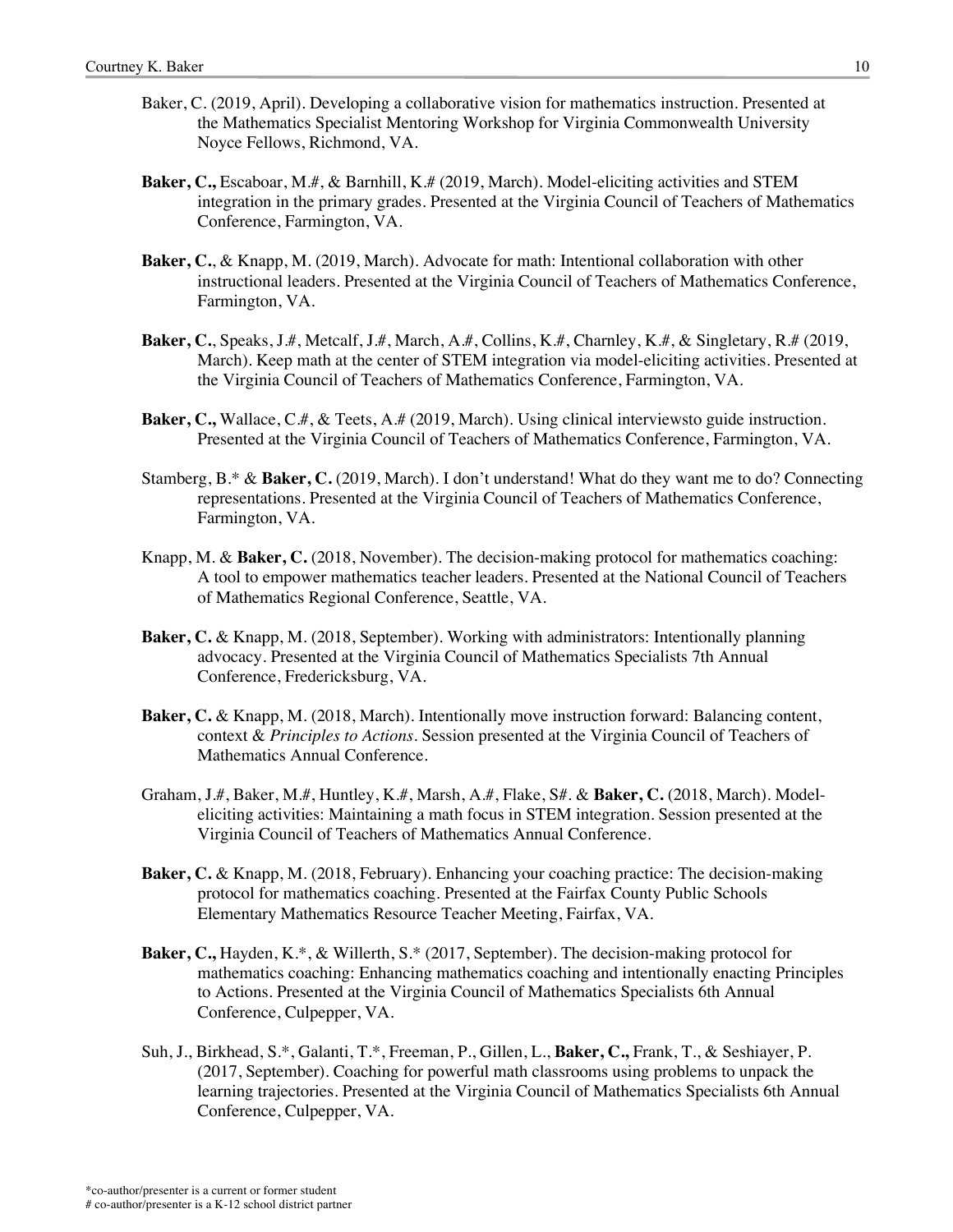- Baker, C. (2019, April). Developing a collaborative vision for mathematics instruction. Presented at the Mathematics Specialist Mentoring Workshop for Virginia Commonwealth University Noyce Fellows, Richmond, VA.
- **Baker, C.,** Escaboar, M.#, & Barnhill, K.# (2019, March). Model-eliciting activities and STEM integration in the primary grades. Presented at the Virginia Council of Teachers of Mathematics Conference, Farmington, VA.
- **Baker, C.**, & Knapp, M. (2019, March). Advocate for math: Intentional collaboration with other instructional leaders. Presented at the Virginia Council of Teachers of Mathematics Conference, Farmington, VA.
- **Baker, C.**, Speaks, J.#, Metcalf, J.#, March, A.#, Collins, K.#, Charnley, K.#, & Singletary, R.# (2019, March). Keep math at the center of STEM integration via model-eliciting activities. Presented at the Virginia Council of Teachers of Mathematics Conference, Farmington, VA.
- **Baker, C., Wallace, C.#, & Teets, A.# (2019, March). Using clinical interviewsto guide instruction.** Presented at the Virginia Council of Teachers of Mathematics Conference, Farmington, VA.
- Stamberg, B.\* & **Baker, C.** (2019, March). I don't understand! What do they want me to do? Connecting representations. Presented at the Virginia Council of Teachers of Mathematics Conference, Farmington, VA.
- Knapp, M. & **Baker, C.** (2018, November). The decision-making protocol for mathematics coaching: A tool to empower mathematics teacher leaders. Presented at the National Council of Teachers of Mathematics Regional Conference, Seattle, VA.
- **Baker, C.** & Knapp, M. (2018, September). Working with administrators: Intentionally planning advocacy. Presented at the Virginia Council of Mathematics Specialists 7th Annual Conference, Fredericksburg, VA.
- **Baker, C.** & Knapp, M. (2018, March). Intentionally move instruction forward: Balancing content, context & *Principles to Actions*. Session presented at the Virginia Council of Teachers of Mathematics Annual Conference.
- Graham, J.#, Baker, M.#, Huntley, K.#, Marsh, A.#, Flake, S#. & **Baker, C.** (2018, March). Modeleliciting activities: Maintaining a math focus in STEM integration. Session presented at the Virginia Council of Teachers of Mathematics Annual Conference.
- **Baker, C.** & Knapp, M. (2018, February). Enhancing your coaching practice: The decision-making protocol for mathematics coaching. Presented at the Fairfax County Public Schools Elementary Mathematics Resource Teacher Meeting, Fairfax, VA.
- **Baker, C.,** Hayden, K.\*, & Willerth, S.\* (2017, September). The decision-making protocol for mathematics coaching: Enhancing mathematics coaching and intentionally enacting Principles to Actions. Presented at the Virginia Council of Mathematics Specialists 6th Annual Conference, Culpepper, VA.
- Suh, J., Birkhead, S.\*, Galanti, T.\*, Freeman, P., Gillen, L., **Baker, C.,** Frank, T., & Seshiayer, P. (2017, September). Coaching for powerful math classrooms using problems to unpack the learning trajectories. Presented at the Virginia Council of Mathematics Specialists 6th Annual Conference, Culpepper, VA.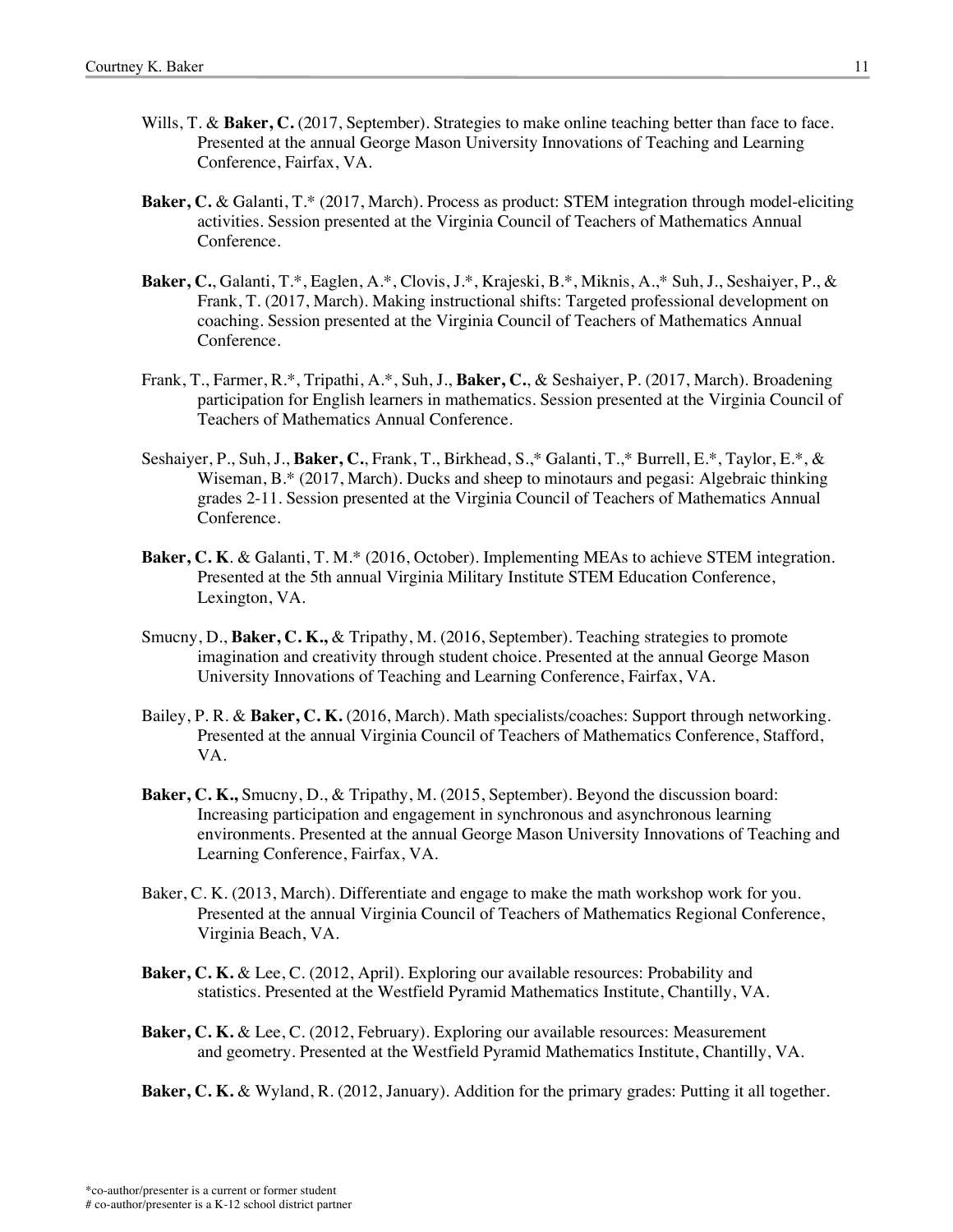- Wills, T. & **Baker, C.** (2017, September). Strategies to make online teaching better than face to face. Presented at the annual George Mason University Innovations of Teaching and Learning Conference, Fairfax, VA.
- **Baker, C.** & Galanti, T.\* (2017, March). Process as product: STEM integration through model-eliciting activities. Session presented at the Virginia Council of Teachers of Mathematics Annual Conference.
- **Baker, C.**, Galanti, T.\*, Eaglen, A.\*, Clovis, J.\*, Krajeski, B.\*, Miknis, A.,\* Suh, J., Seshaiyer, P., & Frank, T. (2017, March). Making instructional shifts: Targeted professional development on coaching. Session presented at the Virginia Council of Teachers of Mathematics Annual Conference.
- Frank, T., Farmer, R.\*, Tripathi, A.\*, Suh, J., **Baker, C.**, & Seshaiyer, P. (2017, March). Broadening participation for English learners in mathematics. Session presented at the Virginia Council of Teachers of Mathematics Annual Conference.
- Seshaiyer, P., Suh, J., **Baker, C.**, Frank, T., Birkhead, S.,\* Galanti, T.,\* Burrell, E.\*, Taylor, E.\*, & Wiseman, B.\* (2017, March). Ducks and sheep to minotaurs and pegasi: Algebraic thinking grades 2-11. Session presented at the Virginia Council of Teachers of Mathematics Annual Conference.
- **Baker, C. K**. & Galanti, T. M.\* (2016, October). Implementing MEAs to achieve STEM integration. Presented at the 5th annual Virginia Military Institute STEM Education Conference, Lexington, VA.
- Smucny, D., **Baker, C. K.,** & Tripathy, M. (2016, September). Teaching strategies to promote imagination and creativity through student choice. Presented at the annual George Mason University Innovations of Teaching and Learning Conference, Fairfax, VA.
- Bailey, P. R. & **Baker, C. K.** (2016, March). Math specialists/coaches: Support through networking. Presented at the annual Virginia Council of Teachers of Mathematics Conference, Stafford, VA.
- **Baker, C. K.,** Smucny, D., & Tripathy, M. (2015, September). Beyond the discussion board: Increasing participation and engagement in synchronous and asynchronous learning environments. Presented at the annual George Mason University Innovations of Teaching and Learning Conference, Fairfax, VA.
- Baker, C. K. (2013, March). Differentiate and engage to make the math workshop work for you. Presented at the annual Virginia Council of Teachers of Mathematics Regional Conference, Virginia Beach, VA.
- **Baker, C. K.** & Lee, C. (2012, April). Exploring our available resources: Probability and statistics. Presented at the Westfield Pyramid Mathematics Institute, Chantilly, VA.
- **Baker, C. K.** & Lee, C. (2012, February). Exploring our available resources: Measurement and geometry. Presented at the Westfield Pyramid Mathematics Institute, Chantilly, VA.

**Baker, C. K.** & Wyland, R. (2012, January). Addition for the primary grades: Putting it all together.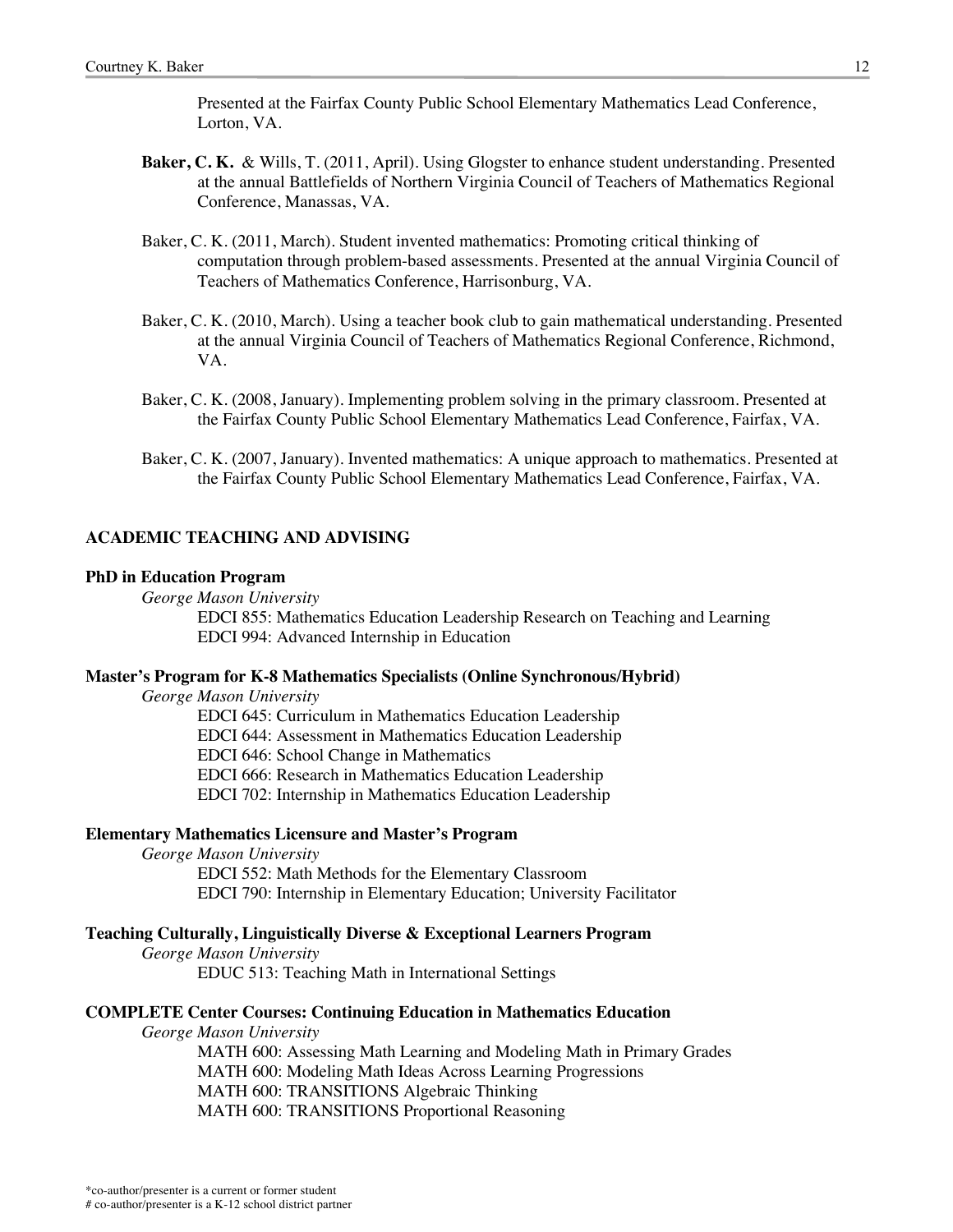Presented at the Fairfax County Public School Elementary Mathematics Lead Conference, Lorton, VA.

- **Baker, C. K.** & Wills, T. (2011, April). Using Glogster to enhance student understanding. Presented at the annual Battlefields of Northern Virginia Council of Teachers of Mathematics Regional Conference, Manassas, VA.
- Baker, C. K. (2011, March). Student invented mathematics: Promoting critical thinking of computation through problem-based assessments. Presented at the annual Virginia Council of Teachers of Mathematics Conference, Harrisonburg, VA.
- Baker, C. K. (2010, March). Using a teacher book club to gain mathematical understanding. Presented at the annual Virginia Council of Teachers of Mathematics Regional Conference, Richmond, VA.
- Baker, C. K. (2008, January). Implementing problem solving in the primary classroom. Presented at the Fairfax County Public School Elementary Mathematics Lead Conference, Fairfax, VA.
- Baker, C. K. (2007, January). Invented mathematics: A unique approach to mathematics. Presented at the Fairfax County Public School Elementary Mathematics Lead Conference, Fairfax, VA.

### **ACADEMIC TEACHING AND ADVISING**

#### **PhD in Education Program**

*George Mason University*

EDCI 855: Mathematics Education Leadership Research on Teaching and Learning EDCI 994: Advanced Internship in Education

#### **Master's Program for K-8 Mathematics Specialists (Online Synchronous/Hybrid)**

*George Mason University*

EDCI 645: Curriculum in Mathematics Education Leadership EDCI 644: Assessment in Mathematics Education Leadership

EDCI 646: School Change in Mathematics

EDCI 666: Research in Mathematics Education Leadership

EDCI 702: Internship in Mathematics Education Leadership

# **Elementary Mathematics Licensure and Master's Program**

*George Mason University* EDCI 552: Math Methods for the Elementary Classroom EDCI 790: Internship in Elementary Education; University Facilitator

# **Teaching Culturally, Linguistically Diverse & Exceptional Learners Program**

*George Mason University* EDUC 513: Teaching Math in International Settings

# **COMPLETE Center Courses: Continuing Education in Mathematics Education**

*George Mason University*

MATH 600: Assessing Math Learning and Modeling Math in Primary Grades MATH 600: Modeling Math Ideas Across Learning Progressions MATH 600: TRANSITIONS Algebraic Thinking MATH 600: TRANSITIONS Proportional Reasoning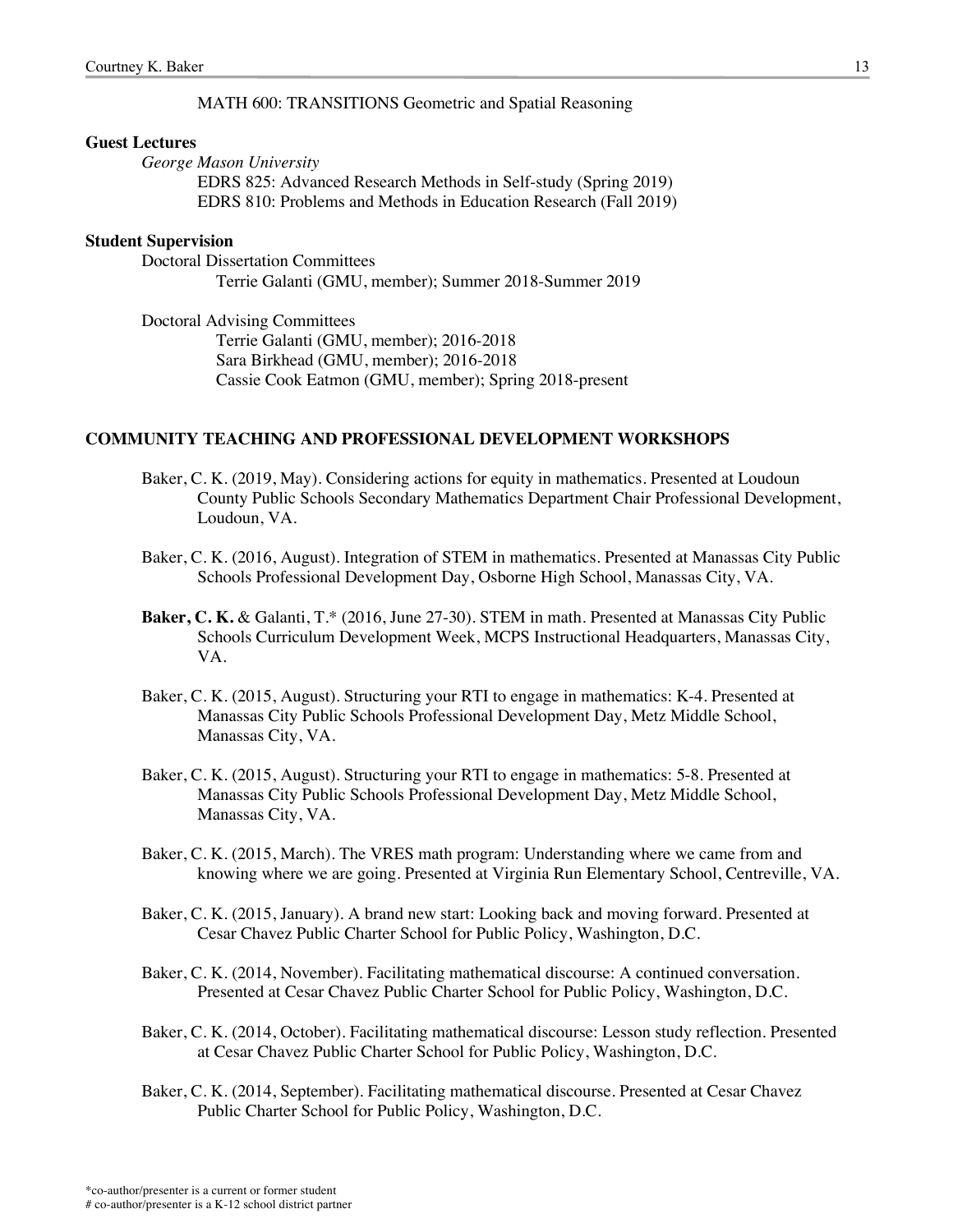## MATH 600: TRANSITIONS Geometric and Spatial Reasoning

#### **Guest Lectures**

*George Mason University*

EDRS 825: Advanced Research Methods in Self-study (Spring 2019) EDRS 810: Problems and Methods in Education Research (Fall 2019)

# **Student Supervision**

Doctoral Dissertation Committees Terrie Galanti (GMU, member); Summer 2018-Summer 2019

Doctoral Advising Committees Terrie Galanti (GMU, member); 2016-2018 Sara Birkhead (GMU, member); 2016-2018 Cassie Cook Eatmon (GMU, member); Spring 2018-present

# **COMMUNITY TEACHING AND PROFESSIONAL DEVELOPMENT WORKSHOPS**

- Baker, C. K. (2019, May). Considering actions for equity in mathematics. Presented at Loudoun County Public Schools Secondary Mathematics Department Chair Professional Development, Loudoun, VA.
- Baker, C. K. (2016, August). Integration of STEM in mathematics. Presented at Manassas City Public Schools Professional Development Day, Osborne High School, Manassas City, VA.
- **Baker, C. K.** & Galanti, T.\* (2016, June 27-30). STEM in math. Presented at Manassas City Public Schools Curriculum Development Week, MCPS Instructional Headquarters, Manassas City, VA.
- Baker, C. K. (2015, August). Structuring your RTI to engage in mathematics: K-4. Presented at Manassas City Public Schools Professional Development Day, Metz Middle School, Manassas City, VA.
- Baker, C. K. (2015, August). Structuring your RTI to engage in mathematics: 5-8. Presented at Manassas City Public Schools Professional Development Day, Metz Middle School, Manassas City, VA.
- Baker, C. K. (2015, March). The VRES math program: Understanding where we came from and knowing where we are going. Presented at Virginia Run Elementary School, Centreville, VA.
- Baker, C. K. (2015, January). A brand new start: Looking back and moving forward. Presented at Cesar Chavez Public Charter School for Public Policy, Washington, D.C.
- Baker, C. K. (2014, November). Facilitating mathematical discourse: A continued conversation. Presented at Cesar Chavez Public Charter School for Public Policy, Washington, D.C.
- Baker, C. K. (2014, October). Facilitating mathematical discourse: Lesson study reflection. Presented at Cesar Chavez Public Charter School for Public Policy, Washington, D.C.
- Baker, C. K. (2014, September). Facilitating mathematical discourse. Presented at Cesar Chavez Public Charter School for Public Policy, Washington, D.C.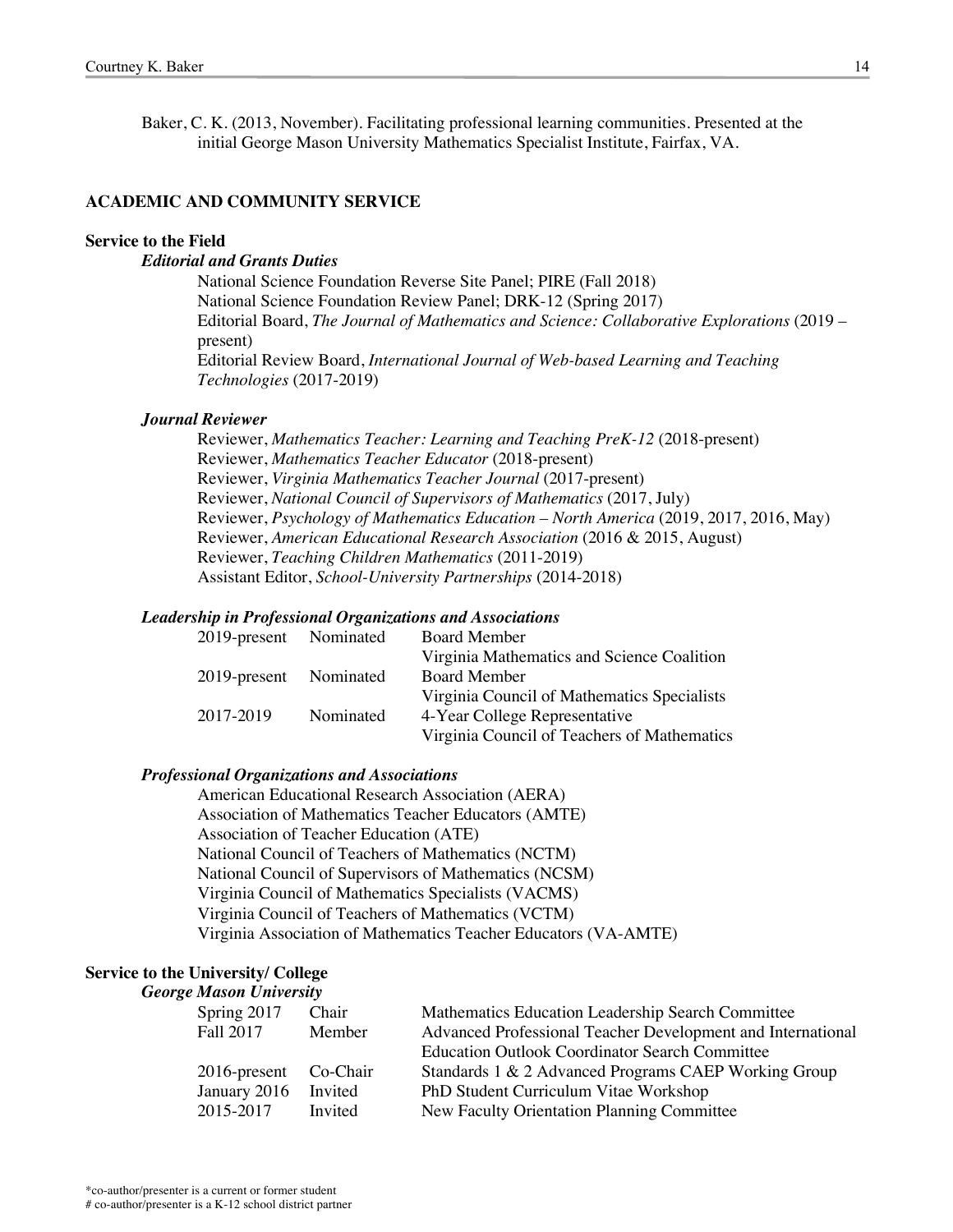Baker, C. K. (2013, November). Facilitating professional learning communities. Presented at the initial George Mason University Mathematics Specialist Institute, Fairfax, VA.

# **ACADEMIC AND COMMUNITY SERVICE**

#### **Service to the Field**

## *Editorial and Grants Duties*

National Science Foundation Reverse Site Panel; PIRE (Fall 2018) National Science Foundation Review Panel; DRK-12 (Spring 2017) Editorial Board, *The Journal of Mathematics and Science: Collaborative Explorations* (2019 – present) Editorial Review Board, *International Journal of Web-based Learning and Teaching Technologies* (2017-2019)

#### *Journal Reviewer*

Reviewer, *Mathematics Teacher: Learning and Teaching PreK-12* (2018-present) Reviewer, *Mathematics Teacher Educator* (2018-present) Reviewer, *Virginia Mathematics Teacher Journal* (2017-present) Reviewer, *National Council of Supervisors of Mathematics* (2017, July) Reviewer, *Psychology of Mathematics Education – North America* (2019, 2017, 2016, May) Reviewer, *American Educational Research Association* (2016 & 2015, August) Reviewer, *Teaching Children Mathematics* (2011-2019) Assistant Editor, *School-University Partnerships* (2014-2018)

#### *Leadership in Professional Organizations and Associations*

| 2019-present Nominated | <b>Board Member</b>                         |
|------------------------|---------------------------------------------|
|                        | Virginia Mathematics and Science Coalition  |
| 2019-present Nominated | <b>Board Member</b>                         |
|                        | Virginia Council of Mathematics Specialists |
| Nominated              | 4-Year College Representative               |
|                        | Virginia Council of Teachers of Mathematics |
|                        |                                             |

#### *Professional Organizations and Associations*

American Educational Research Association (AERA) Association of Mathematics Teacher Educators (AMTE) Association of Teacher Education (ATE) National Council of Teachers of Mathematics (NCTM) National Council of Supervisors of Mathematics (NCSM) Virginia Council of Mathematics Specialists (VACMS) Virginia Council of Teachers of Mathematics (VCTM) Virginia Association of Mathematics Teacher Educators (VA-AMTE)

#### **Service to the University/ College** *George Mason University*

| Spring 2017           | Chair   | Mathematics Education Leadership Search Committee           |
|-----------------------|---------|-------------------------------------------------------------|
| Fall 2017             | Member  | Advanced Professional Teacher Development and International |
|                       |         | <b>Education Outlook Coordinator Search Committee</b>       |
| 2016-present Co-Chair |         | Standards 1 & 2 Advanced Programs CAEP Working Group        |
| January 2016          | Invited | PhD Student Curriculum Vitae Workshop                       |
| 2015-2017             | Invited | New Faculty Orientation Planning Committee                  |
|                       |         |                                                             |